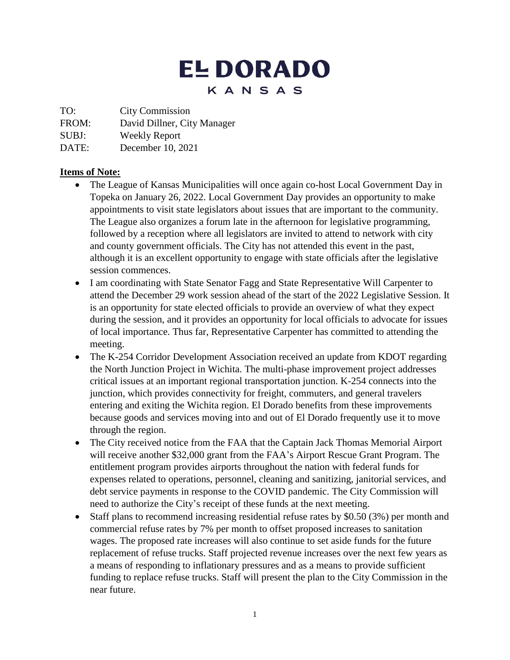## **EL DORADO** KANSAS

TO: City Commission

FROM: David Dillner, City Manager

SUBJ: Weekly Report

DATE: December 10, 2021

## **Items of Note:**

- The League of Kansas Municipalities will once again co-host Local Government Day in Topeka on January 26, 2022. Local Government Day provides an opportunity to make appointments to visit state legislators about issues that are important to the community. The League also organizes a forum late in the afternoon for legislative programming, followed by a reception where all legislators are invited to attend to network with city and county government officials. The City has not attended this event in the past, although it is an excellent opportunity to engage with state officials after the legislative session commences.
- I am coordinating with State Senator Fagg and State Representative Will Carpenter to attend the December 29 work session ahead of the start of the 2022 Legislative Session. It is an opportunity for state elected officials to provide an overview of what they expect during the session, and it provides an opportunity for local officials to advocate for issues of local importance. Thus far, Representative Carpenter has committed to attending the meeting.
- The K-254 Corridor Development Association received an update from KDOT regarding the North Junction Project in Wichita. The multi-phase improvement project addresses critical issues at an important regional transportation junction. K-254 connects into the junction, which provides connectivity for freight, commuters, and general travelers entering and exiting the Wichita region. El Dorado benefits from these improvements because goods and services moving into and out of El Dorado frequently use it to move through the region.
- The City received notice from the FAA that the Captain Jack Thomas Memorial Airport will receive another \$32,000 grant from the FAA's Airport Rescue Grant Program. The entitlement program provides airports throughout the nation with federal funds for expenses related to operations, personnel, cleaning and sanitizing, janitorial services, and debt service payments in response to the COVID pandemic. The City Commission will need to authorize the City's receipt of these funds at the next meeting.
- Staff plans to recommend increasing residential refuse rates by \$0.50 (3%) per month and commercial refuse rates by 7% per month to offset proposed increases to sanitation wages. The proposed rate increases will also continue to set aside funds for the future replacement of refuse trucks. Staff projected revenue increases over the next few years as a means of responding to inflationary pressures and as a means to provide sufficient funding to replace refuse trucks. Staff will present the plan to the City Commission in the near future.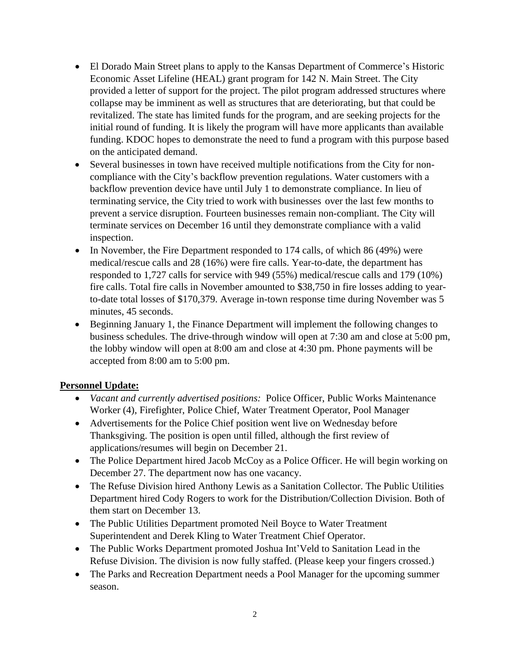- El Dorado Main Street plans to apply to the Kansas Department of Commerce's Historic Economic Asset Lifeline (HEAL) grant program for 142 N. Main Street. The City provided a letter of support for the project. The pilot program addressed structures where collapse may be imminent as well as structures that are deteriorating, but that could be revitalized. The state has limited funds for the program, and are seeking projects for the initial round of funding. It is likely the program will have more applicants than available funding. KDOC hopes to demonstrate the need to fund a program with this purpose based on the anticipated demand.
- Several businesses in town have received multiple notifications from the City for noncompliance with the City's backflow prevention regulations. Water customers with a backflow prevention device have until July 1 to demonstrate compliance. In lieu of terminating service, the City tried to work with businesses over the last few months to prevent a service disruption. Fourteen businesses remain non-compliant. The City will terminate services on December 16 until they demonstrate compliance with a valid inspection.
- In November, the Fire Department responded to 174 calls, of which 86 (49%) were medical/rescue calls and 28 (16%) were fire calls. Year-to-date, the department has responded to 1,727 calls for service with 949 (55%) medical/rescue calls and 179 (10%) fire calls. Total fire calls in November amounted to \$38,750 in fire losses adding to yearto-date total losses of \$170,379. Average in-town response time during November was 5 minutes, 45 seconds.
- Beginning January 1, the Finance Department will implement the following changes to business schedules. The drive-through window will open at 7:30 am and close at 5:00 pm, the lobby window will open at 8:00 am and close at 4:30 pm. Phone payments will be accepted from 8:00 am to 5:00 pm.

## **Personnel Update:**

- *Vacant and currently advertised positions:* Police Officer, Public Works Maintenance Worker (4), Firefighter, Police Chief, Water Treatment Operator, Pool Manager
- Advertisements for the Police Chief position went live on Wednesday before Thanksgiving. The position is open until filled, although the first review of applications/resumes will begin on December 21.
- The Police Department hired Jacob McCoy as a Police Officer. He will begin working on December 27. The department now has one vacancy.
- The Refuse Division hired Anthony Lewis as a Sanitation Collector. The Public Utilities Department hired Cody Rogers to work for the Distribution/Collection Division. Both of them start on December 13.
- The Public Utilities Department promoted Neil Boyce to Water Treatment Superintendent and Derek Kling to Water Treatment Chief Operator.
- The Public Works Department promoted Joshua Int'Veld to Sanitation Lead in the Refuse Division. The division is now fully staffed. (Please keep your fingers crossed.)
- The Parks and Recreation Department needs a Pool Manager for the upcoming summer season.